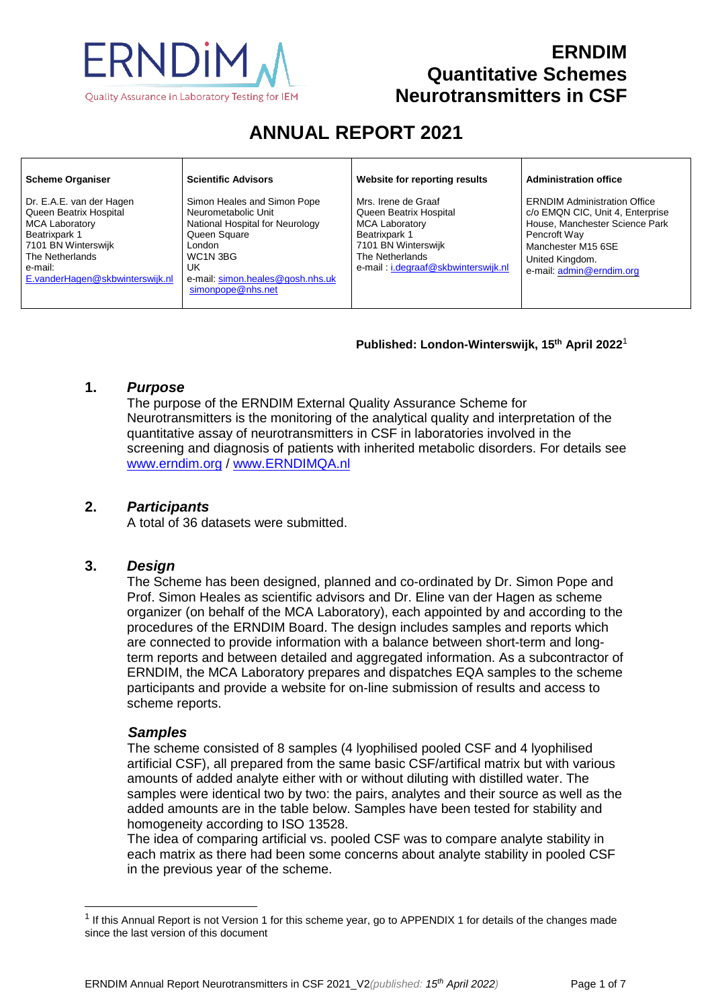

# **ERNDIM Quantitative Schemes Neurotransmitters in CSF**

# **ANNUAL REPORT 2021**

| <b>Scheme Organiser</b>                                                                                                                                                              | <b>Scientific Advisors</b>                                                                                                                                                                 | Website for reporting results                                                                                                                                            | <b>Administration office</b>                                                                                                                                                                   |
|--------------------------------------------------------------------------------------------------------------------------------------------------------------------------------------|--------------------------------------------------------------------------------------------------------------------------------------------------------------------------------------------|--------------------------------------------------------------------------------------------------------------------------------------------------------------------------|------------------------------------------------------------------------------------------------------------------------------------------------------------------------------------------------|
| Dr. E.A.E. van der Hagen<br>Queen Beatrix Hospital<br><b>MCA Laboratory</b><br>Beatrixpark 1<br>7101 BN Winterswijk<br>The Netherlands<br>e-mail:<br>E.vanderHagen@skbwinterswijk.nl | Simon Heales and Simon Pope<br>Neurometabolic Unit<br>National Hospital for Neurology<br>Queen Square<br>London<br>WC1N 3BG<br>UK<br>e-mail: simon.heales@gosh.nhs.uk<br>simonpope@nhs.net | Mrs. Irene de Graaf<br>Queen Beatrix Hospital<br><b>MCA Laboratory</b><br>Beatrixpark 1<br>7101 BN Winterswijk<br>The Netherlands<br>e-mail: i.degraaf@skbwinterswijk.nl | <b>ERNDIM Administration Office</b><br>c/o EMQN CIC, Unit 4, Enterprise<br>House, Manchester Science Park<br>Pencroft Way<br>Manchester M15 6SE<br>United Kingdom.<br>e-mail: admin@erndim.org |

#### **Published: London-Winterswijk, 15 th April 2022** 1

#### **1.** *Purpose*

The purpose of the ERNDIM External Quality Assurance Scheme for Neurotransmitters is the monitoring of the analytical quality and interpretation of the quantitative assay of neurotransmitters in CSF in laboratories involved in the screening and diagnosis of patients with inherited metabolic disorders. For details see [www.erndim.o](http://www.erndim.unibas.ch/)rg / [www.ERNDIMQA.nl](http://www.erndimqa.nl/)

#### **2.** *Participants*

A total of 36 datasets were submitted.

#### **3.** *Design*

The Scheme has been designed, planned and co-ordinated by Dr. Simon Pope and Prof. Simon Heales as scientific advisors and Dr. Eline van der Hagen as scheme organizer (on behalf of the MCA Laboratory), each appointed by and according to the procedures of the ERNDIM Board. The design includes samples and reports which are connected to provide information with a balance between short-term and longterm reports and between detailed and aggregated information. As a subcontractor of ERNDIM, the MCA Laboratory prepares and dispatches EQA samples to the scheme participants and provide a website for on-line submission of results and access to scheme reports.

#### *Samples*

 $\overline{a}$ 

The scheme consisted of 8 samples (4 lyophilised pooled CSF and 4 lyophilised artificial CSF), all prepared from the same basic CSF/artifical matrix but with various amounts of added analyte either with or without diluting with distilled water. The samples were identical two by two: the pairs, analytes and their source as well as the added amounts are in the table below. Samples have been tested for stability and homogeneity according to ISO 13528.

The idea of comparing artificial vs. pooled CSF was to compare analyte stability in each matrix as there had been some concerns about analyte stability in pooled CSF in the previous year of the scheme.

 $1$  If this Annual Report is not Version 1 for this scheme year, go to APPENDIX 1 for details of the changes made since the last version of this document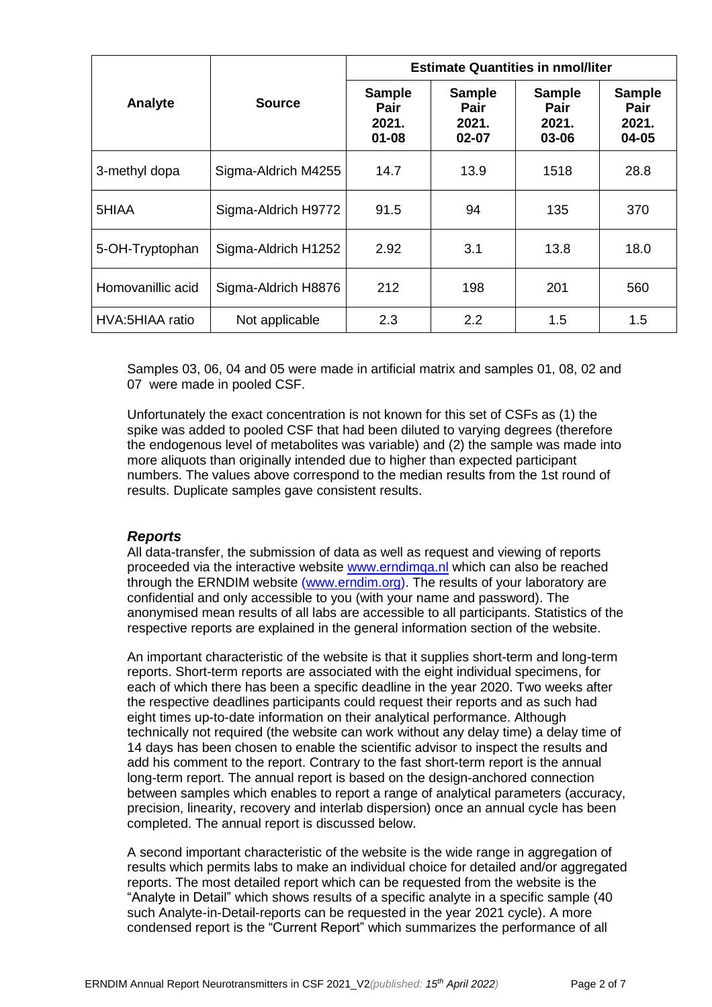|                                          |                     | <b>Estimate Quantities in nmol/liter</b>    |                                         |                                         |                                         |
|------------------------------------------|---------------------|---------------------------------------------|-----------------------------------------|-----------------------------------------|-----------------------------------------|
| Analyte                                  | <b>Source</b>       | <b>Sample</b><br>Pair<br>2021.<br>$01 - 08$ | <b>Sample</b><br>Pair<br>2021.<br>02-07 | <b>Sample</b><br>Pair<br>2021.<br>03-06 | <b>Sample</b><br>Pair<br>2021.<br>04-05 |
| 3-methyl dopa                            | Sigma-Aldrich M4255 | 14.7                                        | 13.9                                    | 1518                                    | 28.8                                    |
| 5HIAA                                    | Sigma-Aldrich H9772 | 91.5                                        | 94                                      | 135                                     | 370                                     |
| 5-OH-Tryptophan                          | Sigma-Aldrich H1252 | 2.92                                        | 3.1                                     | 13.8                                    | 18.0                                    |
| Homovanillic acid<br>Sigma-Aldrich H8876 |                     | 212                                         | 198                                     | 201                                     | 560                                     |
| HVA:5HIAA ratio                          | Not applicable      | 2.3                                         | 2.2                                     | 1.5                                     | 1.5                                     |

Samples 03, 06, 04 and 05 were made in artificial matrix and samples 01, 08, 02 and 07 were made in pooled CSF.

Unfortunately the exact concentration is not known for this set of CSFs as (1) the spike was added to pooled CSF that had been diluted to varying degrees (therefore the endogenous level of metabolites was variable) and (2) the sample was made into more aliquots than originally intended due to higher than expected participant numbers. The values above correspond to the median results from the 1st round of results. Duplicate samples gave consistent results.

#### *Reports*

All data-transfer, the submission of data as well as request and viewing of reports proceeded via the interactive website [www.erndimqa.nl](http://www.erndimqa.nl/) which can also be reached through the ERNDIM website [\(www.erndim.org\)](http://www.erndim.org/). The results of your laboratory are confidential and only accessible to you (with your name and password). The anonymised mean results of all labs are accessible to all participants. Statistics of the respective reports are explained in the general information section of the website.

An important characteristic of the website is that it supplies short-term and long-term reports. Short-term reports are associated with the eight individual specimens, for each of which there has been a specific deadline in the year 2020. Two weeks after the respective deadlines participants could request their reports and as such had eight times up-to-date information on their analytical performance. Although technically not required (the website can work without any delay time) a delay time of 14 days has been chosen to enable the scientific advisor to inspect the results and add his comment to the report. Contrary to the fast short-term report is the annual long-term report. The annual report is based on the design-anchored connection between samples which enables to report a range of analytical parameters (accuracy, precision, linearity, recovery and interlab dispersion) once an annual cycle has been completed. The annual report is discussed below.

A second important characteristic of the website is the wide range in aggregation of results which permits labs to make an individual choice for detailed and/or aggregated reports. The most detailed report which can be requested from the website is the "Analyte in Detail" which shows results of a specific analyte in a specific sample (40 such Analyte-in-Detail-reports can be requested in the year 2021 cycle). A more condensed report is the "Current Report" which summarizes the performance of all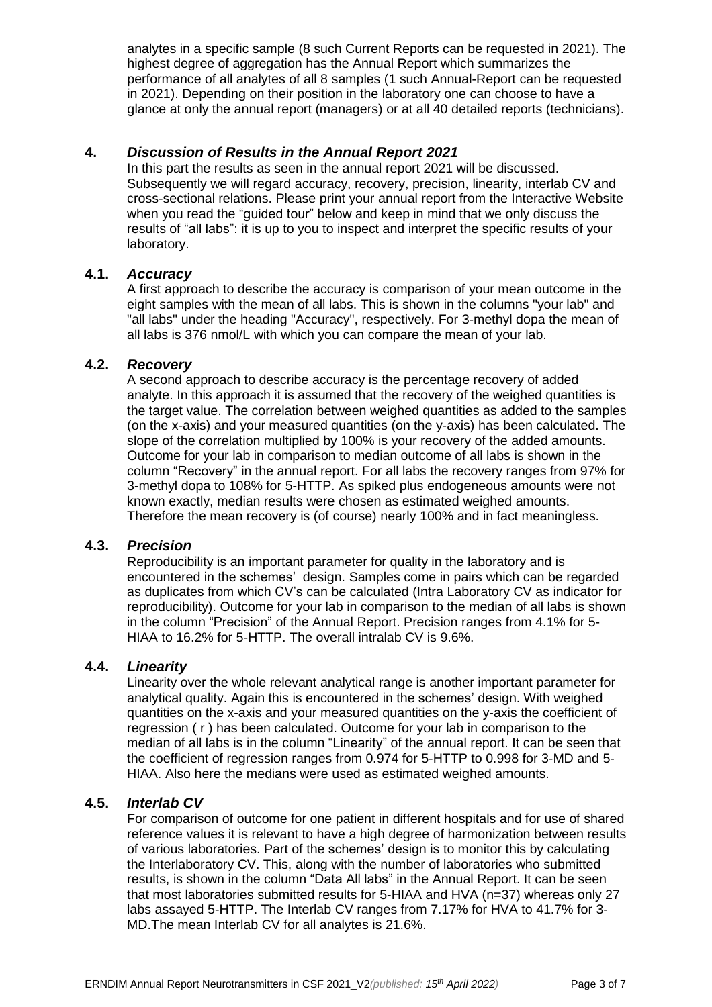analytes in a specific sample (8 such Current Reports can be requested in 2021). The highest degree of aggregation has the Annual Report which summarizes the performance of all analytes of all 8 samples (1 such Annual-Report can be requested in 2021). Depending on their position in the laboratory one can choose to have a glance at only the annual report (managers) or at all 40 detailed reports (technicians).

#### **4.** *Discussion of Results in the Annual Report 2021*

In this part the results as seen in the annual report 2021 will be discussed. Subsequently we will regard accuracy, recovery, precision, linearity, interlab CV and cross-sectional relations. Please print your annual report from the Interactive Website when you read the "guided tour" below and keep in mind that we only discuss the results of "all labs": it is up to you to inspect and interpret the specific results of your laboratory.

# **4.1.** *Accuracy*

A first approach to describe the accuracy is comparison of your mean outcome in the eight samples with the mean of all labs. This is shown in the columns "your lab" and "all labs" under the heading "Accuracy", respectively. For 3-methyl dopa the mean of all labs is 376 nmol/L with which you can compare the mean of your lab.

#### **4.2.** *Recovery*

A second approach to describe accuracy is the percentage recovery of added analyte. In this approach it is assumed that the recovery of the weighed quantities is the target value. The correlation between weighed quantities as added to the samples (on the x-axis) and your measured quantities (on the y-axis) has been calculated. The slope of the correlation multiplied by 100% is your recovery of the added amounts. Outcome for your lab in comparison to median outcome of all labs is shown in the column "Recovery" in the annual report. For all labs the recovery ranges from 97% for 3-methyl dopa to 108% for 5-HTTP. As spiked plus endogeneous amounts were not known exactly, median results were chosen as estimated weighed amounts. Therefore the mean recovery is (of course) nearly 100% and in fact meaningless.

# **4.3.** *Precision*

Reproducibility is an important parameter for quality in the laboratory and is encountered in the schemes' design. Samples come in pairs which can be regarded as duplicates from which CV's can be calculated (Intra Laboratory CV as indicator for reproducibility). Outcome for your lab in comparison to the median of all labs is shown in the column "Precision" of the Annual Report. Precision ranges from 4.1% for 5- HIAA to 16.2% for 5-HTTP. The overall intralab CV is 9.6%.

#### **4.4.** *Linearity*

Linearity over the whole relevant analytical range is another important parameter for analytical quality. Again this is encountered in the schemes' design. With weighed quantities on the x-axis and your measured quantities on the y-axis the coefficient of regression ( r ) has been calculated. Outcome for your lab in comparison to the median of all labs is in the column "Linearity" of the annual report. It can be seen that the coefficient of regression ranges from 0.974 for 5-HTTP to 0.998 for 3-MD and 5- HIAA. Also here the medians were used as estimated weighed amounts.

#### **4.5.** *Interlab CV*

For comparison of outcome for one patient in different hospitals and for use of shared reference values it is relevant to have a high degree of harmonization between results of various laboratories. Part of the schemes' design is to monitor this by calculating the Interlaboratory CV. This, along with the number of laboratories who submitted results, is shown in the column "Data All labs" in the Annual Report. It can be seen that most laboratories submitted results for 5-HIAA and HVA (n=37) whereas only 27 labs assayed 5-HTTP. The Interlab CV ranges from 7.17% for HVA to 41.7% for 3- MD.The mean Interlab CV for all analytes is 21.6%.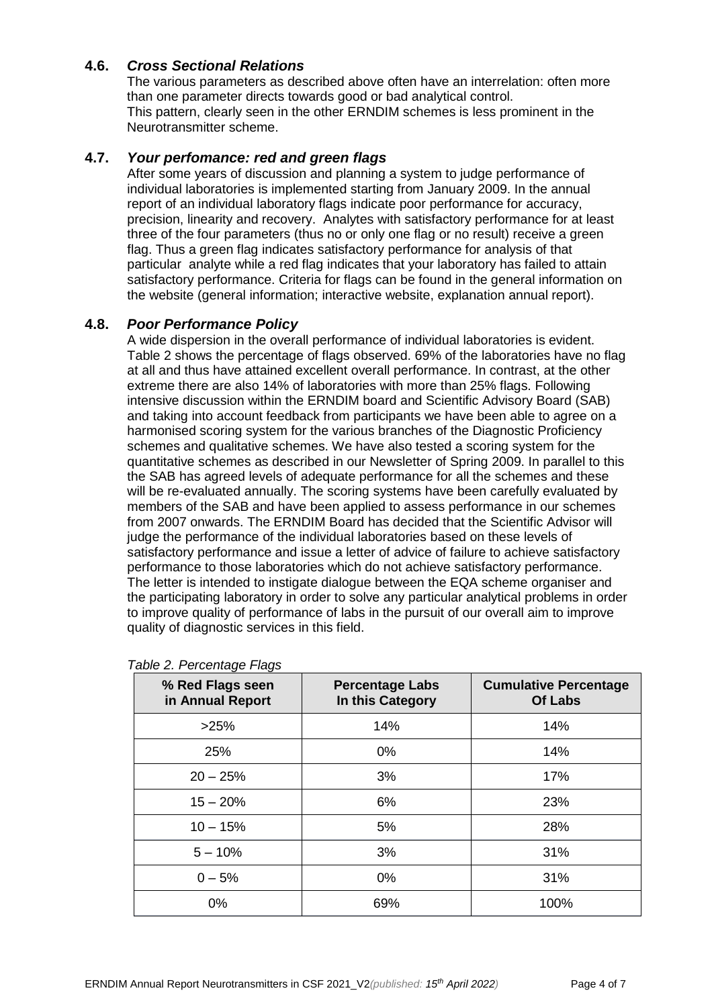# **4.6.** *Cross Sectional Relations*

The various parameters as described above often have an interrelation: often more than one parameter directs towards good or bad analytical control. This pattern, clearly seen in the other ERNDIM schemes is less prominent in the Neurotransmitter scheme.

# **4.7.** *Your perfomance: red and green flags*

After some years of discussion and planning a system to judge performance of individual laboratories is implemented starting from January 2009. In the annual report of an individual laboratory flags indicate poor performance for accuracy, precision, linearity and recovery. Analytes with satisfactory performance for at least three of the four parameters (thus no or only one flag or no result) receive a green flag. Thus a green flag indicates satisfactory performance for analysis of that particular analyte while a red flag indicates that your laboratory has failed to attain satisfactory performance. Criteria for flags can be found in the general information on the website (general information; interactive website, explanation annual report).

#### **4.8.** *Poor Performance Policy*

A wide dispersion in the overall performance of individual laboratories is evident. Table 2 shows the percentage of flags observed. 69% of the laboratories have no flag at all and thus have attained excellent overall performance. In contrast, at the other extreme there are also 14% of laboratories with more than 25% flags. Following intensive discussion within the ERNDIM board and Scientific Advisory Board (SAB) and taking into account feedback from participants we have been able to agree on a harmonised scoring system for the various branches of the Diagnostic Proficiency schemes and qualitative schemes. We have also tested a scoring system for the quantitative schemes as described in our Newsletter of Spring 2009. In parallel to this the SAB has agreed levels of adequate performance for all the schemes and these will be re-evaluated annually. The scoring systems have been carefully evaluated by members of the SAB and have been applied to assess performance in our schemes from 2007 onwards. The ERNDIM Board has decided that the Scientific Advisor will judge the performance of the individual laboratories based on these levels of satisfactory performance and issue a letter of advice of failure to achieve satisfactory performance to those laboratories which do not achieve satisfactory performance. The letter is intended to instigate dialogue between the EQA scheme organiser and the participating laboratory in order to solve any particular analytical problems in order to improve quality of performance of labs in the pursuit of our overall aim to improve quality of diagnostic services in this field.

| % Red Flags seen<br>in Annual Report | <b>Percentage Labs</b><br>In this Category | <b>Cumulative Percentage</b><br><b>Of Labs</b> |
|--------------------------------------|--------------------------------------------|------------------------------------------------|
| >25%                                 | 14%                                        | 14%                                            |
| 25%                                  | $0\%$                                      | 14%                                            |
| $20 - 25%$                           | 3%                                         | 17%                                            |
| $15 - 20%$                           | 6%                                         | 23%                                            |
| $10 - 15%$                           | 5%                                         | 28%                                            |
| $5 - 10%$                            | 3%                                         | 31%                                            |
| $0 - 5%$                             | $0\%$                                      | 31%                                            |
| 0%                                   | 69%                                        | 100%                                           |

#### *Table 2. Percentage Flags*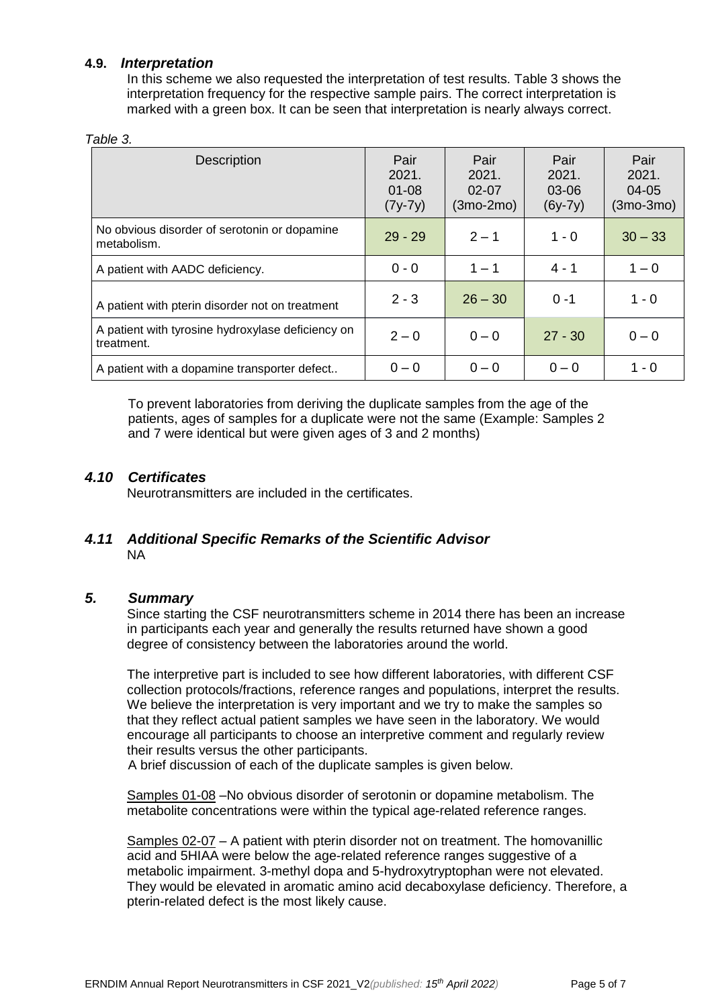# **4.9.** *Interpretation*

In this scheme we also requested the interpretation of test results. Table 3 shows the interpretation frequency for the respective sample pairs. The correct interpretation is marked with a green box. It can be seen that interpretation is nearly always correct.

#### *Table 3.*

| Description                                                     | Pair<br>2021.<br>$01 - 08$<br>$(7y-7y)$ | Pair<br>2021.<br>$02 - 07$<br>$(3mo-2mo)$ | Pair<br>2021.<br>03-06<br>$(6y-7y)$ | Pair<br>2021.<br>04-05<br>$(3mo-3mo)$ |
|-----------------------------------------------------------------|-----------------------------------------|-------------------------------------------|-------------------------------------|---------------------------------------|
| No obvious disorder of serotonin or dopamine<br>metabolism.     | $29 - 29$                               | $2 - 1$                                   | $1 - 0$                             | $30 - 33$                             |
| A patient with AADC deficiency.                                 | $0 - 0$                                 | $1 - 1$                                   | $4 - 1$                             | $1 - 0$                               |
| A patient with pterin disorder not on treatment                 | $2 - 3$                                 | $26 - 30$                                 | $0 - 1$                             | $1 - 0$                               |
| A patient with tyrosine hydroxylase deficiency on<br>treatment. | $2 - 0$                                 | $0 - 0$                                   | $27 - 30$                           | $0 - 0$                               |
| A patient with a dopamine transporter defect                    | $0 - 0$                                 | $0 - 0$                                   | $0 - 0$                             | $1 - 0$                               |

To prevent laboratories from deriving the duplicate samples from the age of the patients, ages of samples for a duplicate were not the same (Example: Samples 2 and 7 were identical but were given ages of 3 and 2 months)

# *4.10 Certificates*

Neurotransmitters are included in the certificates.

# *4.11 Additional Specific Remarks of the Scientific Advisor* NA

#### *5. Summary*

Since starting the CSF neurotransmitters scheme in 2014 there has been an increase in participants each year and generally the results returned have shown a good degree of consistency between the laboratories around the world.

The interpretive part is included to see how different laboratories, with different CSF collection protocols/fractions, reference ranges and populations, interpret the results. We believe the interpretation is very important and we try to make the samples so that they reflect actual patient samples we have seen in the laboratory. We would encourage all participants to choose an interpretive comment and regularly review their results versus the other participants.

A brief discussion of each of the duplicate samples is given below.

Samples 01-08 –No obvious disorder of serotonin or dopamine metabolism. The metabolite concentrations were within the typical age-related reference ranges.

Samples 02-07 – A patient with pterin disorder not on treatment. The homovanillic acid and 5HIAA were below the age-related reference ranges suggestive of a metabolic impairment. 3-methyl dopa and 5-hydroxytryptophan were not elevated. They would be elevated in aromatic amino acid decaboxylase deficiency. Therefore, a pterin-related defect is the most likely cause.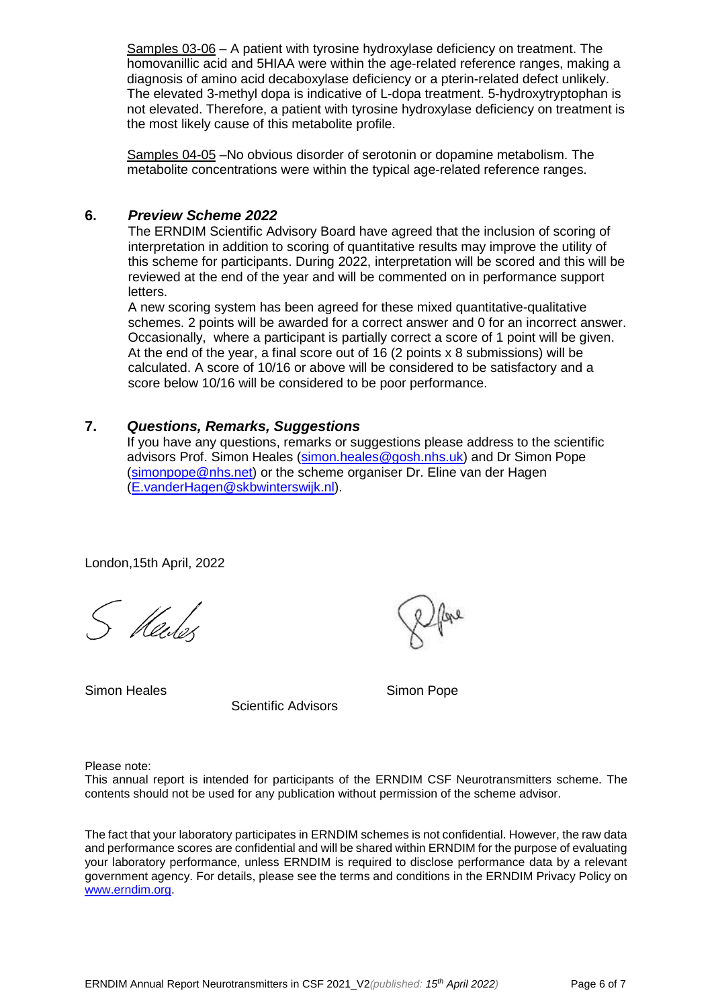Samples 03-06 – A patient with tyrosine hydroxylase deficiency on treatment. The homovanillic acid and 5HIAA were within the age-related reference ranges, making a diagnosis of amino acid decaboxylase deficiency or a pterin-related defect unlikely. The elevated 3-methyl dopa is indicative of L-dopa treatment. 5-hydroxytryptophan is not elevated. Therefore, a patient with tyrosine hydroxylase deficiency on treatment is the most likely cause of this metabolite profile.

Samples 04-05 –No obvious disorder of serotonin or dopamine metabolism. The metabolite concentrations were within the typical age-related reference ranges.

#### **6.** *Preview Scheme 2022*

The ERNDIM Scientific Advisory Board have agreed that the inclusion of scoring of interpretation in addition to scoring of quantitative results may improve the utility of this scheme for participants. During 2022, interpretation will be scored and this will be reviewed at the end of the year and will be commented on in performance support letters.

A new scoring system has been agreed for these mixed quantitative-qualitative schemes. 2 points will be awarded for a correct answer and 0 for an incorrect answer. Occasionally, where a participant is partially correct a score of 1 point will be given. At the end of the year, a final score out of 16 (2 points x 8 submissions) will be calculated. A score of 10/16 or above will be considered to be satisfactory and a score below 10/16 will be considered to be poor performance.

#### **7.** *Questions, Remarks, Suggestions*

If you have any questions, remarks or suggestions please address to the scientific advisors Prof. Simon Heales [\(simon.heales@gosh.nhs.uk\)](mailto:simon.heales@gosh.nhs.uk) and Dr Simon Pope [\(simonpope@nhs.net\)](mailto:simonpope@nhs.net) or the scheme organiser Dr. Eline van der Hagen [\(E.vanderHagen@skbwinterswijk.nl\)](mailto:E.vanderHagen@skbwinterswijk.nl).

London,15th April, 2022

S Kendes

Simon Heales Simon Pope

Scientific Advisors

Please note:

This annual report is intended for participants of the ERNDIM CSF Neurotransmitters scheme. The contents should not be used for any publication without permission of the scheme advisor.

The fact that your laboratory participates in ERNDIM schemes is not confidential. However, the raw data and performance scores are confidential and will be shared within ERNDIM for the purpose of evaluating your laboratory performance, unless ERNDIM is required to disclose performance data by a relevant government agency. For details, please see the terms and conditions in the ERNDIM Privacy Policy on [www.erndim.org.](http://www.erndim.org/)